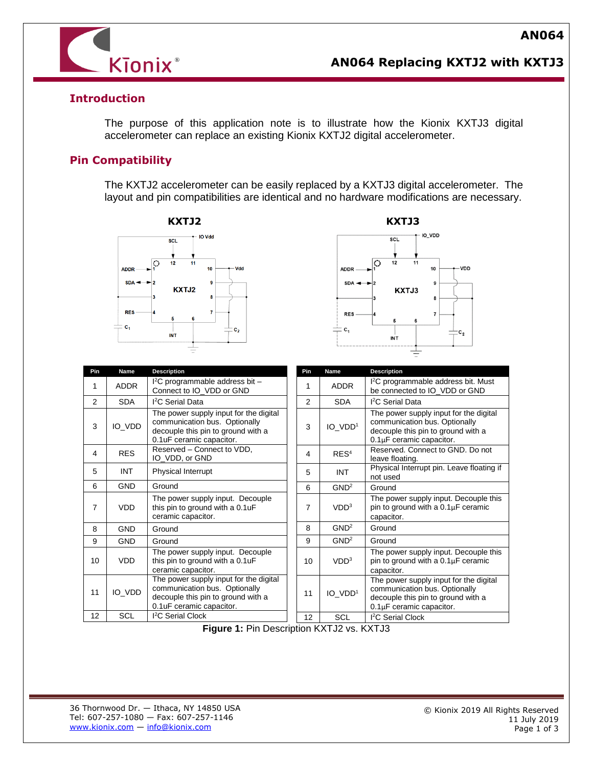

# **AN064 Replacing KXTJ2 with KXTJ3**

### **Introduction**

The purpose of this application note is to illustrate how the Kionix KXTJ3 digital accelerometer can replace an existing Kionix KXTJ2 digital accelerometer.

### **Pin Compatibility**

The KXTJ2 accelerometer can be easily replaced by a KXTJ3 digital accelerometer. The layout and pin compatibilities are identical and no hardware modifications are necessary.





| Pin            | <b>Name</b> | <b>Description</b>                                                                                                                        |
|----------------|-------------|-------------------------------------------------------------------------------------------------------------------------------------------|
| 1              | <b>ADDR</b> | $l^2C$ programmable address bit -<br>Connect to IO VDD or GND                                                                             |
| $\overline{2}$ | <b>SDA</b>  | <sup>2</sup> C Serial Data                                                                                                                |
| 3              | IO_VDD      | The power supply input for the digital<br>communication bus. Optionally<br>decouple this pin to ground with a<br>0.1uF ceramic capacitor. |
| 4              | <b>RES</b>  | Reserved - Connect to VDD,<br>IO VDD, or GND                                                                                              |
| 5              | <b>INT</b>  | Physical Interrupt                                                                                                                        |
| 6              | <b>GND</b>  | Ground                                                                                                                                    |
| 7              | <b>VDD</b>  | The power supply input. Decouple<br>this pin to ground with a 0.1uF<br>ceramic capacitor.                                                 |
| 8              | <b>GND</b>  | Ground                                                                                                                                    |
| 9              | <b>GND</b>  | Ground                                                                                                                                    |
| 10             | <b>VDD</b>  | The power supply input. Decouple<br>this pin to ground with a 0.1uF<br>ceramic capacitor.                                                 |
| 11             | IO VDD      | The power supply input for the digital<br>communication bus. Optionally<br>decouple this pin to ground with a<br>0.1uF ceramic capacitor. |
| 12             | SCL         | I <sup>2</sup> C Serial Clock                                                                                                             |

| Pin            | Name                | Description                                                                                                                                    |
|----------------|---------------------|------------------------------------------------------------------------------------------------------------------------------------------------|
| 1              | <b>ADDR</b>         | I <sup>2</sup> C programmable address bit. Must<br>be connected to IO_VDD or GND                                                               |
| $\mathfrak{p}$ | <b>SDA</b>          | I <sup>2</sup> C Serial Data                                                                                                                   |
| 3              | IO VDD <sup>1</sup> | The power supply input for the digital<br>communication bus. Optionally<br>decouple this pin to ground with a<br>0.1µF ceramic capacitor.      |
| 4              | RES <sup>4</sup>    | Reserved. Connect to GND. Do not<br>leave floating.                                                                                            |
| 5              | <b>INT</b>          | Physical Interrupt pin. Leave floating if<br>not used                                                                                          |
| 6              | GND <sup>2</sup>    | Ground                                                                                                                                         |
| 7              | VDD <sup>3</sup>    | The power supply input. Decouple this<br>pin to ground with a $0.1\mu$ F ceramic<br>capacitor.                                                 |
| 8              | GND <sup>2</sup>    | Ground                                                                                                                                         |
| 9              | GND <sup>2</sup>    | Ground                                                                                                                                         |
| 10             | VDD <sup>3</sup>    | The power supply input. Decouple this<br>pin to ground with a $0.1\mu$ F ceramic<br>capacitor.                                                 |
| 11             | IO_VDD <sup>1</sup> | The power supply input for the digital<br>communication bus. Optionally<br>decouple this pin to ground with a<br>$0.1\mu$ F ceramic capacitor. |
| 12             | SCL                 | <sup>2</sup> C Serial Clock                                                                                                                    |

**Figure 1: Pin Description KXTJ2 vs. KXTJ3**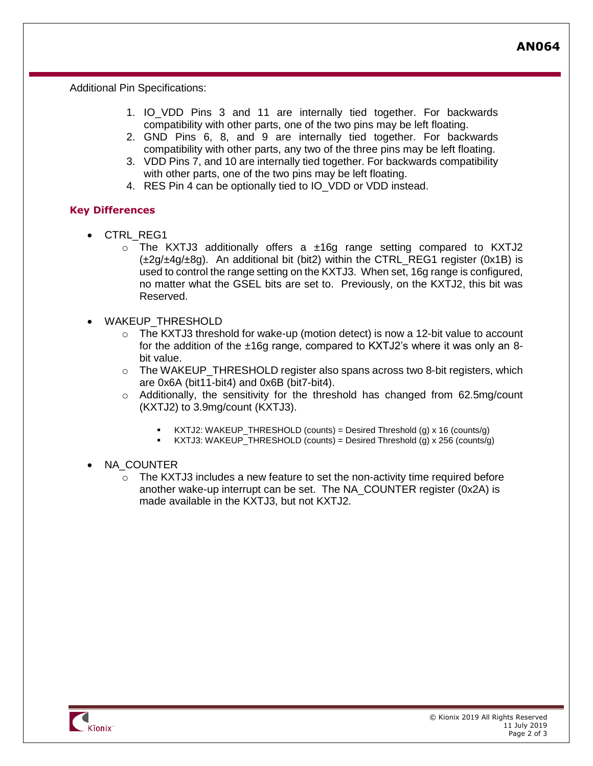**AN064**

Additional Pin Specifications:

- 1. IO\_VDD Pins 3 and 11 are internally tied together. For backwards compatibility with other parts, one of the two pins may be left floating.
- 2. GND Pins 6, 8, and 9 are internally tied together. For backwards compatibility with other parts, any two of the three pins may be left floating.
- 3. VDD Pins 7, and 10 are internally tied together. For backwards compatibility with other parts, one of the two pins may be left floating.
- 4. RES Pin 4 can be optionally tied to IO\_VDD or VDD instead.

#### **Key Differences**

- CTRL\_REG1
	- $\circ$  The KXTJ3 additionally offers a  $\pm 16q$  range setting compared to KXTJ2  $(\pm 2q/\pm 4q/\pm 8q)$ . An additional bit (bit2) within the CTRL REG1 register (0x1B) is used to control the range setting on the KXTJ3. When set, 16g range is configured, no matter what the GSEL bits are set to. Previously, on the KXTJ2, this bit was Reserved.
- WAKEUP THRESHOLD
	- $\circ$  The KXTJ3 threshold for wake-up (motion detect) is now a 12-bit value to account for the addition of the ±16g range, compared to KXTJ2's where it was only an 8 bit value.
	- $\circ$  The WAKEUP\_THRESHOLD register also spans across two 8-bit registers, which are 0x6A (bit11-bit4) and 0x6B (bit7-bit4).
	- $\circ$  Additionally, the sensitivity for the threshold has changed from 62.5mg/count (KXTJ2) to 3.9mg/count (KXTJ3).
		- KXTJ2: WAKEUP\_THRESHOLD (counts) = Desired Threshold (g) x 16 (counts/g)
		- $KXTJ3: WAKEUP_THRESHOLD (counts) = Design Hrieshold (g) x 256 (counts/g)$
- NA COUNTER
	- $\circ$  The KXTJ3 includes a new feature to set the non-activity time required before another wake-up interrupt can be set. The NA\_COUNTER register (0x2A) is made available in the KXTJ3, but not KXTJ2.



ł